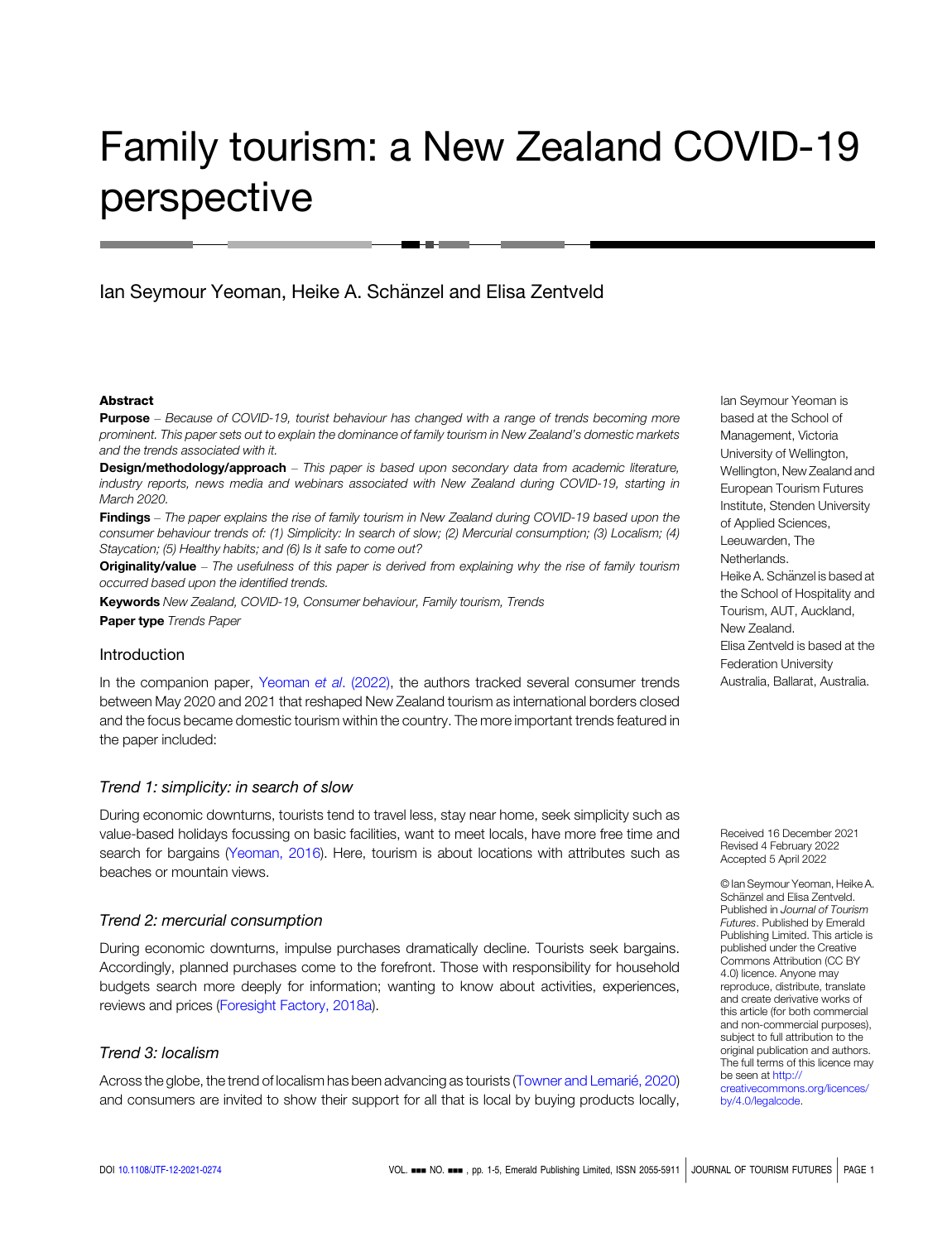# Family tourism: a New Zealand COVID-19 perspective

Ian Seymour Yeoman, Heike A. Schänzel and Elisa Zentveld

#### Abstract

**Purpose** – Because of COVID-19, tourist behaviour has changed with a range of trends becoming more prominent. This paper sets out to explain the dominance of family tourism in New Zealand's domestic markets and the trends associated with it.

**Design/methodology/approach** – This paper is based upon secondary data from academic literature, industry reports, news media and webinars associated with New Zealand during COVID-19, starting in March 2020.

Findings – The paper explains the rise of family tourism in New Zealand during COVID-19 based upon the consumer behaviour trends of: (1) Simplicity: In search of slow; (2) Mercurial consumption; (3) Localism; (4) Staycation; (5) Healthy habits; and (6) Is it safe to come out?

Originality/value - The usefulness of this paper is derived from explaining why the rise of family tourism occurred based upon the identified trends.

Keywords New Zealand, COVID-19, Consumer behaviour, Family tourism, Trends Paper type Trends Paper

## Introduction

In the companion paper, [Yeoman](#page-4-0) et al. (2022), the authors tracked several consumer trends between May 2020 and 2021 that reshaped New Zealand tourism as international borders closed and the focus became domestic tourism within the country. The more important trends featured in the paper included:

## Trend 1: simplicity: in search of slow

During economic downturns, tourists tend to travel less, stay near home, seek simplicity such as value-based holidays focussing on basic facilities, want to meet locals, have more free time and search for bargains [\(Yeoman, 2016](#page-4-0)). Here, tourism is about locations with attributes such as beaches or mountain views.

## Trend 2: mercurial consumption

During economic downturns, impulse purchases dramatically decline. Tourists seek bargains. Accordingly, planned purchases come to the forefront. Those with responsibility for household budgets search more deeply for information; wanting to know about activities, experiences, reviews and prices ([Foresight Factory, 2018a\)](#page-3-0).

# Trend 3: localism

Across the globe, the trend of localism has been advancing as tourists ([Towner and Lemari](#page-4-0)é, 2020) and consumers are invited to show their support for all that is local by buying products locally, Ian Seymour Yeoman is based at the School of Management, Victoria University of Wellington, Wellington, New Zealand and European Tourism Futures Institute, Stenden University of Applied Sciences, Leeuwarden, The Netherlands. Heike A. Schänzel is based at the School of Hospitality and Tourism, AUT, Auckland, New Zealand. Elisa Zentveld is based at the Federation University Australia, Ballarat, Australia.

Received 16 December 2021 Revised 4 February 2022 Accepted 5 April 2022

© Ian Seymour Yeoman, Heike A. Schänzel and Elisa Zentveld. Published in Journal of Tourism Futures. Published by Emerald Publishing Limited. This article is published under the Creative Commons Attribution (CC BY 4.0) licence. Anyone may reproduce, distribute, translate and create derivative works of this article (for both commercial and non-commercial purposes), subject to full attribution to the original publication and authors. The full terms of this licence may be seen at [http://](http://creativecommons.org/licences/by/4.0/legalcode) [creativecommons.org/licences/](http://creativecommons.org/licences/by/4.0/legalcode)

[by/4.0/legalcode](http://creativecommons.org/licences/by/4.0/legalcode).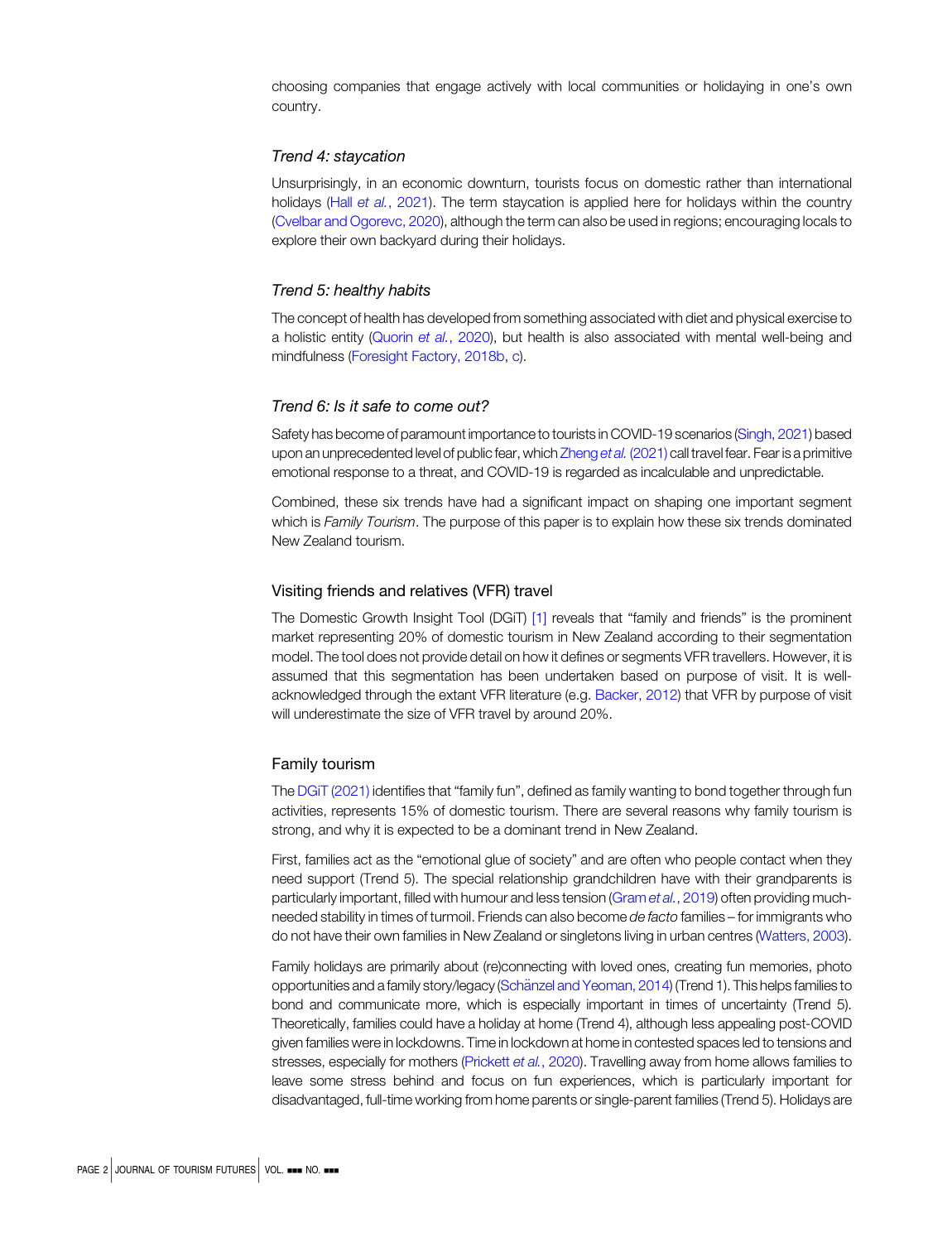choosing companies that engage actively with local communities or holidaying in one's own country.

#### Trend 4: staycation

Unsurprisingly, in an economic downturn, tourists focus on domestic rather than international holidays (Hall et al.[, 2021](#page-3-0)). The term staycation is applied here for holidays within the country [\(Cvelbar and Ogorevc, 2020](#page-3-0)), although the term can also be used in regions; encouraging locals to explore their own backyard during their holidays.

### Trend 5: healthy habits

The concept of health has developed from something associated with diet and physical exercise to a holistic entity ([Quorin](#page-3-0) et al., 2020), but health is also associated with mental well-being and mindfulness ([Foresight Factory, 2018b,](#page-3-0) [c\)](#page-3-0).

### Trend 6: Is it safe to come out?

Safety has become of paramount importance to tourists in COVID-19 scenarios [\(Singh, 2021\)](#page-4-0) based upon an unprecedented level of public fear, which [Zheng](#page-4-0) et al. (2021) call travel fear. Fear is a primitive emotional response to a threat, and COVID-19 is regarded as incalculable and unpredictable.

Combined, these six trends have had a significant impact on shaping one important segment which is Family Tourism. The purpose of this paper is to explain how these six trends dominated New Zealand tourism.

#### Visiting friends and relatives (VFR) travel

The Domestic Growth Insight Tool (DGiT) [\[1\]](#page-3-0) reveals that "family and friends" is the prominent market representing 20% of domestic tourism in New Zealand according to their segmentation model. The tool does not provide detail on how it defines or segments VFR travellers. However, it is assumed that this segmentation has been undertaken based on purpose of visit. It is wellacknowledged through the extant VFR literature (e.g. [Backer, 2012\)](#page-3-0) that VFR by purpose of visit will underestimate the size of VFR travel by around 20%.

## Family tourism

The [DGiT \(2021\)](#page-3-0) identifies that "family fun", defined as family wanting to bond together through fun activities, represents 15% of domestic tourism. There are several reasons why family tourism is strong, and why it is expected to be a dominant trend in New Zealand.

First, families act as the "emotional glue of society" and are often who people contact when they need support (Trend 5). The special relationship grandchildren have with their grandparents is particularly important, filled with humour and less tension (Gram et al.[, 2019](#page-3-0)) often providing muchneeded stability in times of turmoil. Friends can also become de facto families – for immigrants who do not have their own families in New Zealand or singletons living in urban centres ([Watters, 2003](#page-4-0)).

Family holidays are primarily about (re)connecting with loved ones, creating fun memories, photo opportunities and a family story/legacy (Schänzel and Yeoman, 2014) (Trend 1). This helps families to bond and communicate more, which is especially important in times of uncertainty (Trend 5). Theoretically, families could have a holiday at home (Trend 4), although less appealing post-COVID given families were in lockdowns. Time in lockdown at home in contested spaces led to tensions and stresses, especially for mothers ([Prickett](#page-3-0) et al., 2020). Travelling away from home allows families to leave some stress behind and focus on fun experiences, which is particularly important for disadvantaged, full-time working from home parents or single-parent families (Trend 5). Holidays are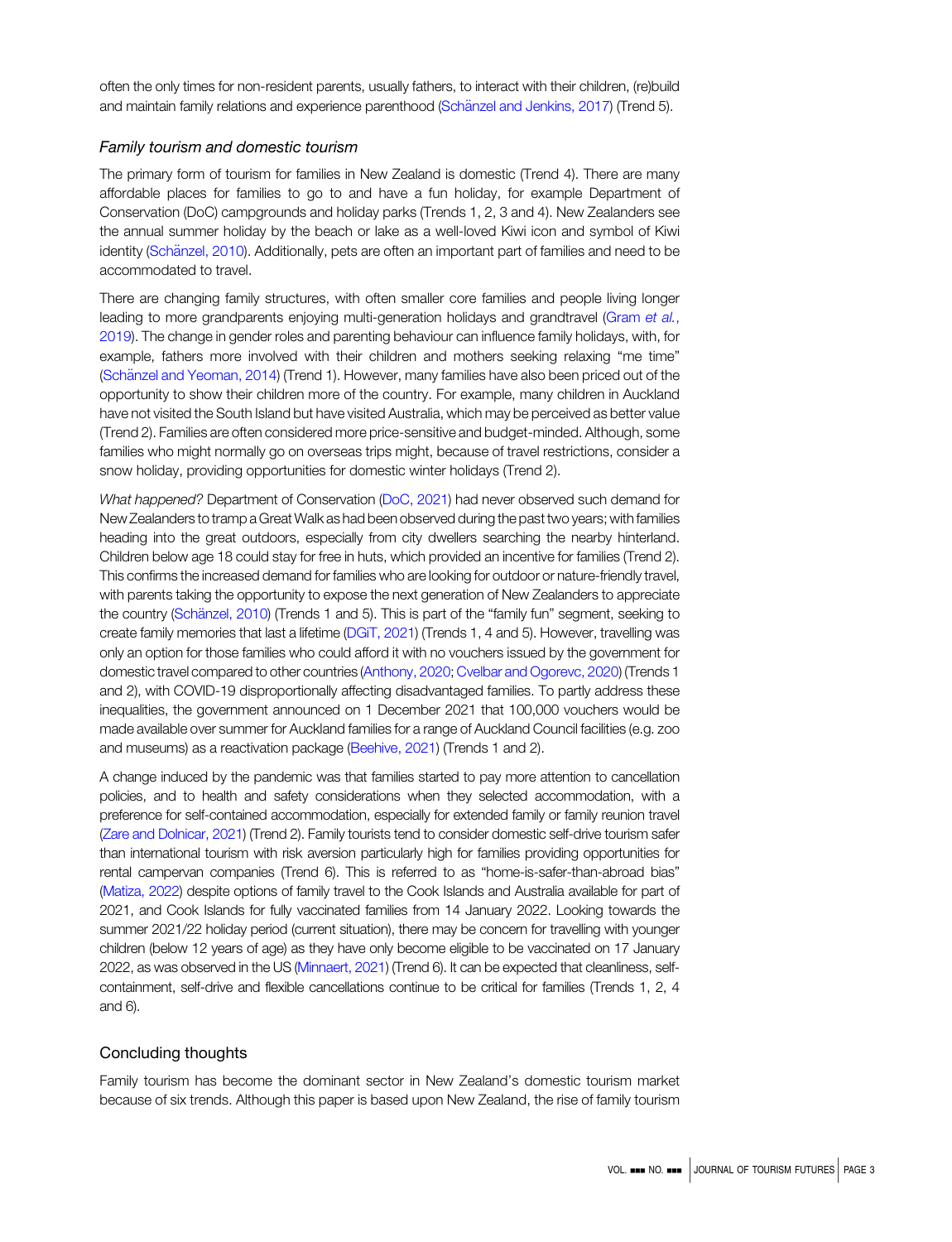often the only times for non-resident parents, usually fathers, to interact with their children, (re)build and maintain family relations and experience parenthood (Schänzel and Jenkins, 2017) (Trend 5).

## Family tourism and domestic tourism

The primary form of tourism for families in New Zealand is domestic (Trend 4). There are many affordable places for families to go to and have a fun holiday, for example Department of Conservation (DoC) campgrounds and holiday parks (Trends 1, 2, 3 and 4). New Zealanders see the annual summer holiday by the beach or lake as a well-loved Kiwi icon and symbol of Kiwi identity (Schänzel, 2010). Additionally, pets are often an important part of families and need to be accommodated to travel.

There are changing family structures, with often smaller core families and people living longer leading to more grandparents enjoying multi-generation holidays and grandtravel [\(Gram](#page-3-0) et al., [2019](#page-3-0)). The change in gender roles and parenting behaviour can influence family holidays, with, for example, fathers more involved with their children and mothers seeking relaxing "me time" ([Sch](#page-3-0)ä[nzel and Yeoman, 2014](#page-3-0)) (Trend 1). However, many families have also been priced out of the opportunity to show their children more of the country. For example, many children in Auckland have not visited the South Island but have visited Australia, which may be perceived as better value (Trend 2). Families are often considered more price-sensitive and budget-minded. Although, some families who might normally go on overseas trips might, because of travel restrictions, consider a snow holiday, providing opportunities for domestic winter holidays (Trend 2).

What happened? Department of Conservation [\(DoC, 2021](#page-3-0)) had never observed such demand for New Zealanders to tramp a Great Walk as had been observed during the past two years; with families heading into the great outdoors, especially from city dwellers searching the nearby hinterland. Children below age 18 could stay for free in huts, which provided an incentive for families (Trend 2). This confirms the increased demand for families who are looking for outdoor or nature-friendly travel, with parents taking the opportunity to expose the next generation of New Zealanders to appreciate the country (Schänzel, 2010) (Trends 1 and 5). This is part of the "family fun" segment, seeking to create family memories that last a lifetime ([DGiT, 2021\)](#page-3-0) (Trends 1, 4 and 5). However, travelling was only an option for those families who could afford it with no vouchers issued by the government for domestic travel compared to other countries (Anthony, 2020; Cvelbar and Ogorevc, 2020) (Trends 1 and 2), with COVID-19 disproportionally affecting disadvantaged families. To partly address these inequalities, the government announced on 1 December 2021 that 100,000 vouchers would be made available over summer for Auckland families for a range of Auckland Council facilities (e.g. zoo and museums) as a reactivation package [\(Beehive, 2021\)](#page-3-0) (Trends 1 and 2).

A change induced by the pandemic was that families started to pay more attention to cancellation policies, and to health and safety considerations when they selected accommodation, with a preference for self-contained accommodation, especially for extended family or family reunion travel [\(Zare and Dolnicar, 2021\)](#page-4-0) (Trend 2). Family tourists tend to consider domestic self-drive tourism safer than international tourism with risk aversion particularly high for families providing opportunities for rental campervan companies (Trend 6). This is referred to as "home-is-safer-than-abroad bias" [\(Matiza, 2022](#page-3-0)) despite options of family travel to the Cook Islands and Australia available for part of 2021, and Cook Islands for fully vaccinated families from 14 January 2022. Looking towards the summer 2021/22 holiday period (current situation), there may be concern for travelling with younger children (below 12 years of age) as they have only become eligible to be vaccinated on 17 January 2022, as was observed in the US [\(Minnaert, 2021](#page-3-0)) (Trend 6). It can be expected that cleanliness, selfcontainment, self-drive and flexible cancellations continue to be critical for families (Trends 1, 2, 4 and 6).

# Concluding thoughts

Family tourism has become the dominant sector in New Zealand's domestic tourism market because of six trends. Although this paper is based upon New Zealand, the rise of family tourism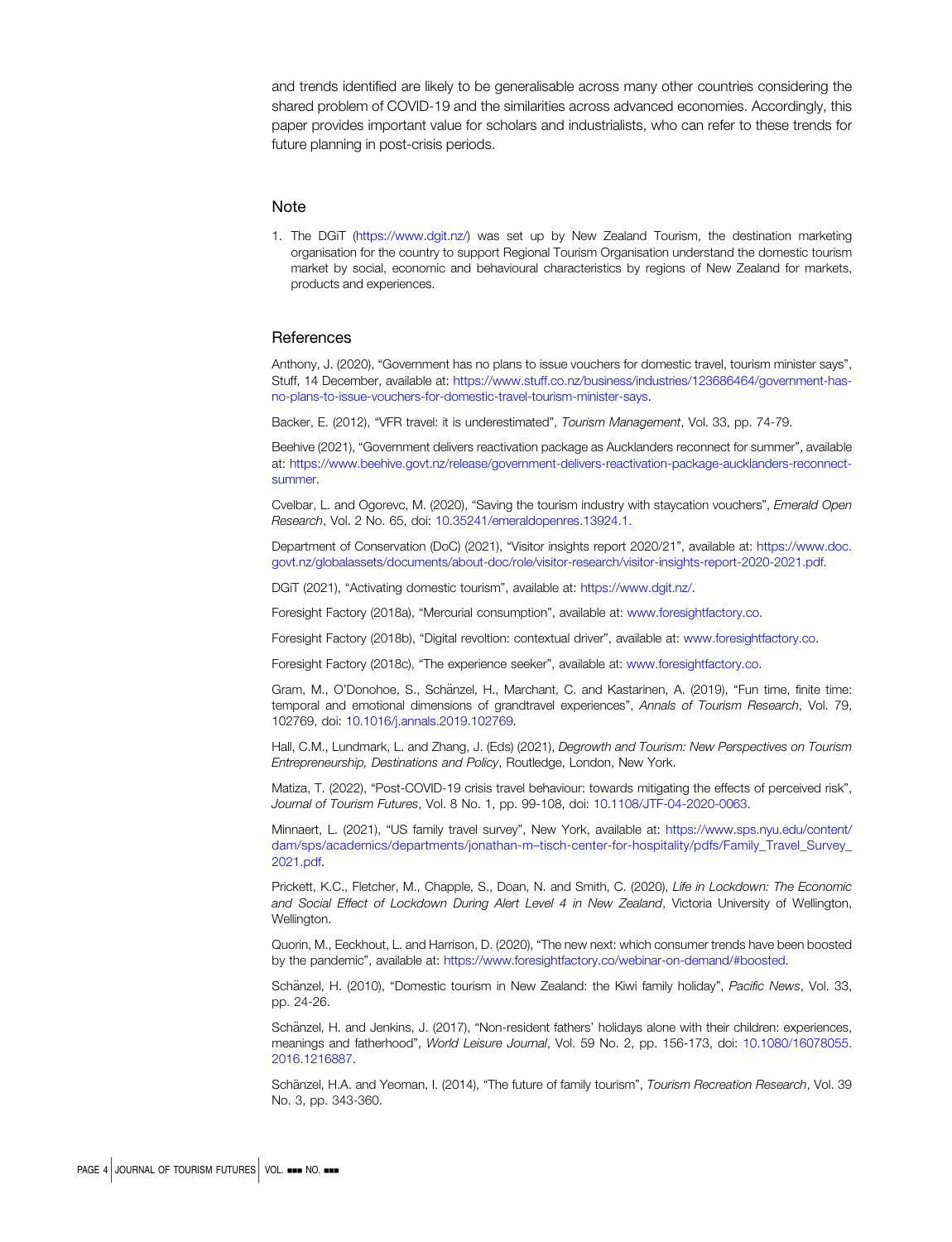<span id="page-3-0"></span>and trends identified are likely to be generalisable across many other countries considering the shared problem of COVID-19 and the similarities across advanced economies. Accordingly, this paper provides important value for scholars and industrialists, who can refer to these trends for future planning in post-crisis periods.

#### **Note**

1. The DGiT (<https://www.dgit.nz/>) was set up by New Zealand Tourism, the destination marketing organisation for the country to support Regional Tourism Organisation understand the domestic tourism market by social, economic and behavioural characteristics by regions of New Zealand for markets, products and experiences.

#### **References**

Anthony, J. (2020), "Government has no plans to issue vouchers for domestic travel, tourism minister says", Stuff, 14 December, available at: [https://www.stuff.co.nz/business/industries/123686464/government-has](https://www.stuff.co.nz/business/industries/123686464/government-has-no-plans-to-issue-vouchers-for-domestic-travel-tourism-minister-says)[no-plans-to-issue-vouchers-for-domestic-travel-tourism-minister-says](https://www.stuff.co.nz/business/industries/123686464/government-has-no-plans-to-issue-vouchers-for-domestic-travel-tourism-minister-says).

Backer, E. (2012), "VFR travel: it is underestimated", Tourism Management, Vol. 33, pp. 74-79.

Beehive (2021), "Government delivers reactivation package as Aucklanders reconnect for summer", available at: [https://www.beehive.govt.nz/release/government-delivers-reactivation-package-aucklanders-reconnect](https://www.beehive.govt.nz/release/government-delivers-reactivation-package-aucklanders-reconnect-summer)[summer.](https://www.beehive.govt.nz/release/government-delivers-reactivation-package-aucklanders-reconnect-summer)

Cvelbar, L. and Ogorevc, M. (2020), "Saving the tourism industry with staycation vouchers", Emerald Open Research, Vol. 2 No. 65, doi: [10.35241/emeraldopenres.13924.1](https://doi.org/10.35241/emeraldopenres.13924.1).

Department of Conservation (DoC) (2021), "Visitor insights report 2020/21", available at: [https://www.doc.](https://www.doc.govt.nz/globalassets/documents/about-doc/role/visitor-research/visitor-insights-report-2020-2021.pdf) [govt.nz/globalassets/documents/about-doc/role/visitor-research/visitor-insights-report-2020-2021.pdf](https://www.doc.govt.nz/globalassets/documents/about-doc/role/visitor-research/visitor-insights-report-2020-2021.pdf).

DGiT (2021), "Activating domestic tourism", available at: [https://www.dgit.nz/.](https://www.dgit.nz/)

Foresight Factory (2018a), "Mercurial consumption", available at: [www.foresightfactory.co.](http://www.foresightfactory.co)

Foresight Factory (2018b), "Digital revoltion: contextual driver", available at: [www.foresightfactory.co](http://www.foresightfactory.co).

Foresight Factory (2018c), "The experience seeker", available at: [www.foresightfactory.co](http://www.foresightfactory.co).

Gram, M., O'Donohoe, S., Schänzel, H., Marchant, C. and Kastarinen, A. (2019), "Fun time, finite time: temporal and emotional dimensions of grandtravel experiences", Annals of Tourism Research, Vol. 79, 102769, doi: [10.1016/j.annals.2019.102769.](https://doi.org/10.1016/j.annals.2019.102769)

Hall, C.M., Lundmark, L. and Zhang, J. (Eds) (2021), Degrowth and Tourism: New Perspectives on Tourism Entrepreneurship, Destinations and Policy, Routledge, London, New York.

Matiza, T. (2022), "Post-COVID-19 crisis travel behaviour: towards mitigating the effects of perceived risk", Journal of Tourism Futures, Vol. 8 No. 1, pp. 99-108, doi: [10.1108/JTF-04-2020-0063](https://doi.org/10.1108/JTF-04-2020-0063).

Minnaert, L. (2021), "US family travel survey", New York, available at: [https://www.sps.nyu.edu/content/](https://www.sps.nyu.edu/content/dam/sps/academics/departments/jonathan-m--tisch-center-for-hospitality/pdfs/Family_Travel_Survey_2021.pdf) dam/sps/academics/departments/jonathan-m–[tisch-center-for-hospitality/pdfs/Family\\_Travel\\_Survey\\_](https://www.sps.nyu.edu/content/dam/sps/academics/departments/jonathan-m--tisch-center-for-hospitality/pdfs/Family_Travel_Survey_2021.pdf) [2021.pdf.](https://www.sps.nyu.edu/content/dam/sps/academics/departments/jonathan-m--tisch-center-for-hospitality/pdfs/Family_Travel_Survey_2021.pdf)

Prickett, K.C., Fletcher, M., Chapple, S., Doan, N. and Smith, C. (2020), Life in Lockdown: The Economic and Social Effect of Lockdown During Alert Level 4 in New Zealand, Victoria University of Wellington, Wellington.

Quorin, M., Eeckhout, L. and Harrison, D. (2020), "The new next: which consumer trends have been boosted by the pandemic", available at: <https://www.foresightfactory.co/webinar-on-demand/#boosted>.

Schänzel, H. (2010), "Domestic tourism in New Zealand: the Kiwi family holiday", Pacific News, Vol. 33, pp. 24-26.

Schänzel, H. and Jenkins, J. (2017), "Non-resident fathers' holidays alone with their children: experiences, meanings and fatherhood", World Leisure Journal, Vol. 59 No. 2, pp. 156-173, doi: [10.1080/16078055.](https://doi.org/10.1080/16078055.2016.1216887) [2016.1216887](https://doi.org/10.1080/16078055.2016.1216887).

Schänzel, H.A. and Yeoman, I. (2014), "The future of family tourism", Tourism Recreation Research, Vol. 39 No. 3, pp. 343-360.